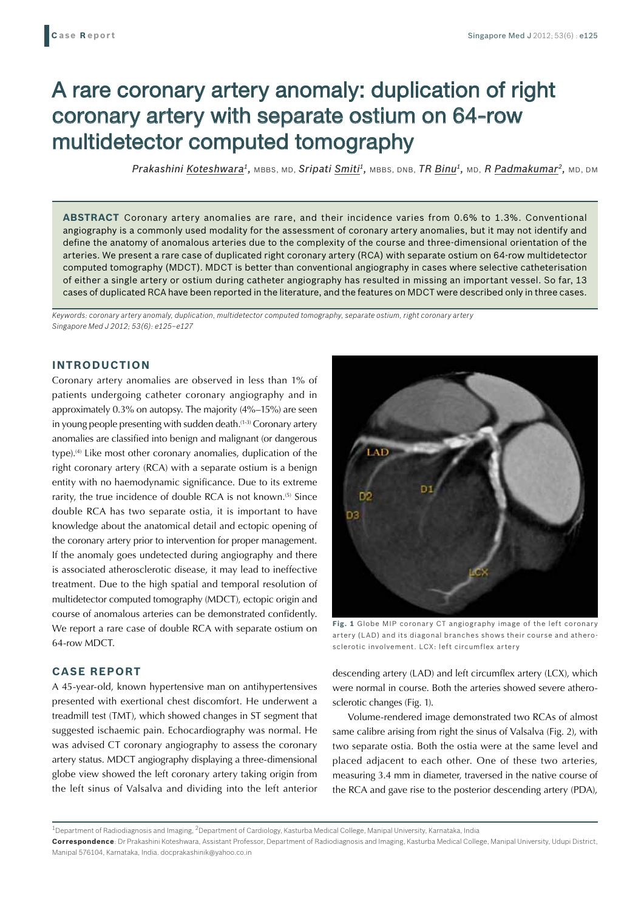# A rare coronary artery anomaly: duplication of right coronary artery with separate ostium on 64-row multidetector computed tomography

*Prakashini Koteshwara1,* MBBS, MD, *Sripati Smiti1,* MBBS, DNB, *TR Binu1,* MD, *R Padmakumar2,* MD, DM

**ABSTRACT** Coronary artery anomalies are rare, and their incidence varies from 0.6% to 1.3%. Conventional angiography is a commonly used modality for the assessment of coronary artery anomalies, but it may not identify and define the anatomy of anomalous arteries due to the complexity of the course and three-dimensional orientation of the arteries. We present a rare case of duplicated right coronary artery (RCA) with separate ostium on 64-row multidetector computed tomography (MDCT). MDCT is better than conventional angiography in cases where selective catheterisation of either a single artery or ostium during catheter angiography has resulted in missing an important vessel. So far, 13 cases of duplicated RCA have been reported in the literature, and the features on MDCT were described only in three cases.

*Keywords: coronary artery anomaly, duplication, multidetector computed tomography, separate ostium, right coronary artery Singapore Med J 2012; 53(6): e125–e127*

## **INTRODUCTION**

Coronary artery anomalies are observed in less than 1% of patients undergoing catheter coronary angiography and in approximately 0.3% on autopsy. The majority (4%–15%) are seen in young people presenting with sudden death.<sup>(1-3)</sup> Coronary artery anomalies are classified into benign and malignant (or dangerous type).<sup>(4)</sup> Like most other coronary anomalies, duplication of the right coronary artery (RCA) with a separate ostium is a benign entity with no haemodynamic significance. Due to its extreme rarity, the true incidence of double RCA is not known.<sup>(5)</sup> Since double RCA has two separate ostia, it is important to have knowledge about the anatomical detail and ectopic opening of the coronary artery prior to intervention for proper management. If the anomaly goes undetected during angiography and there is associated atherosclerotic disease, it may lead to ineffective treatment. Due to the high spatial and temporal resolution of multidetector computed tomography (MDCT), ectopic origin and course of anomalous arteries can be demonstrated confidently. We report a rare case of double RCA with separate ostium on 64-row MDCT.

# **CASE REPORT**

A 45-year-old, known hypertensive man on antihypertensives presented with exertional chest discomfort. He underwent a treadmill test (TMT), which showed changes in ST segment that suggested ischaemic pain. Echocardiography was normal. He was advised CT coronary angiography to assess the coronary artery status. MDCT angiography displaying a three-dimensional globe view showed the left coronary artery taking origin from the left sinus of Valsalva and dividing into the left anterior



**Fig. 1** Globe MIP coronary CT angiography image of the left coronary artery (LAD) and its diagonal branches shows their course and atherosclerotic involvement. LCX: left circumflex artery

descending artery (LAD) and left circumflex artery (LCX), which were normal in course. Both the arteries showed severe atherosclerotic changes (Fig. 1).

Volume-rendered image demonstrated two RCAs of almost same calibre arising from right the sinus of Valsalva (Fig. 2), with two separate ostia. Both the ostia were at the same level and placed adjacent to each other. One of these two arteries, measuring 3.4 mm in diameter, traversed in the native course of the RCA and gave rise to the posterior descending artery (PDA),

<sup>1</sup>Department of Radiodiagnosis and Imaging, <sup>2</sup>Department of Cardiology, Kasturba Medical College, Manipal University, Karnataka, India

**Correspondence**: Dr Prakashini Koteshwara, Assistant Professor, Department of Radiodiagnosis and Imaging, Kasturba Medical College, Manipal University, Udupi District, Manipal 576104, Karnataka, India. docprakashinik@yahoo.co.in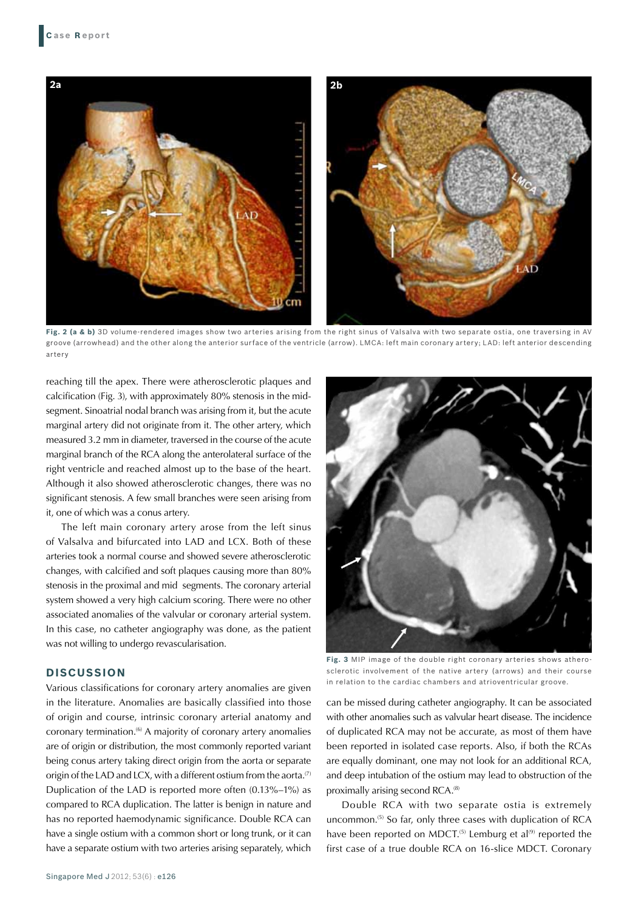

**Fig. 2 (a & b)** 3D volume-rendered images show two arteries arising from the right sinus of Valsalva with two separate ostia, one traversing in AV groove (arrowhead) and the other along the anterior surface of the ventricle (arrow). LMCA: left main coronary artery; LAD: left anterior descending artery

reaching till the apex. There were atherosclerotic plaques and calcification (Fig. 3), with approximately 80% stenosis in the midsegment. Sinoatrial nodal branch was arising from it, but the acute marginal artery did not originate from it. The other artery, which measured 3.2 mm in diameter, traversed in the course of the acute marginal branch of the RCA along the anterolateral surface of the right ventricle and reached almost up to the base of the heart. Although it also showed atherosclerotic changes, there was no significant stenosis. A few small branches were seen arising from it, one of which was a conus artery.

The left main coronary artery arose from the left sinus of Valsalva and bifurcated into LAD and LCX. Both of these arteries took a normal course and showed severe atherosclerotic changes, with calcified and soft plaques causing more than 80% stenosis in the proximal and mid segments. The coronary arterial system showed a very high calcium scoring. There were no other associated anomalies of the valvular or coronary arterial system. In this case, no catheter angiography was done, as the patient was not willing to undergo revascularisation.

#### **DISCUSSION**

Various classifications for coronary artery anomalies are given in the literature. Anomalies are basically classified into those of origin and course, intrinsic coronary arterial anatomy and coronary termination.<sup>(6)</sup> A majority of coronary artery anomalies are of origin or distribution, the most commonly reported variant being conus artery taking direct origin from the aorta or separate origin of the LAD and LCX, with a different ostium from the aorta.<sup>(7)</sup> Duplication of the LAD is reported more often (0.13%–1%) as compared to RCA duplication. The latter is benign in nature and has no reported haemodynamic significance. Double RCA can have a single ostium with a common short or long trunk, or it can have a separate ostium with two arteries arising separately, which



**Fig. 3** MIP image of the double right coronary arteries shows atherosclerotic involvement of the native artery (arrows) and their course in relation to the cardiac chambers and atrioventricular groove.

can be missed during catheter angiography. It can be associated with other anomalies such as valvular heart disease. The incidence of duplicated RCA may not be accurate, as most of them have been reported in isolated case reports. Also, if both the RCAs are equally dominant, one may not look for an additional RCA, and deep intubation of the ostium may lead to obstruction of the proximally arising second RCA.<sup>(8)</sup>

Double RCA with two separate ostia is extremely uncommon.(5) So far, only three cases with duplication of RCA have been reported on MDCT.<sup>(5)</sup> Lemburg et al<sup>(9)</sup> reported the first case of a true double RCA on 16-slice MDCT. Coronary